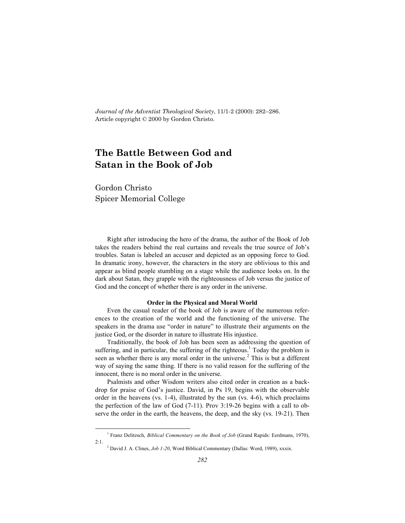*Journal of the Adventist Theological Society*, 11/1-2 (2000): 282–286. Article copyright © 2000 by Gordon Christo.

# **The Battle Between God and Satan in the Book of Job**

Gordon Christo Spicer Memorial College

Right after introducing the hero of the drama, the author of the Book of Job takes the readers behind the real curtains and reveals the true source of Job's troubles. Satan is labeled an accuser and depicted as an opposing force to God. In dramatic irony, however, the characters in the story are oblivious to this and appear as blind people stumbling on a stage while the audience looks on. In the dark about Satan, they grapple with the righteousness of Job versus the justice of God and the concept of whether there is any order in the universe.

#### **Order in the Physical and Moral World**

Even the casual reader of the book of Job is aware of the numerous references to the creation of the world and the functioning of the universe. The speakers in the drama use "order in nature" to illustrate their arguments on the justice God, or the disorder in nature to illustrate His injustice.

Traditionally, the book of Job has been seen as addressing the question of suffering, and in particular, the suffering of the righteous.<sup>1</sup> Today the problem is seen as whether there is any moral order in the universe.<sup>2</sup> This is but a different way of saying the same thing. If there is no valid reason for the suffering of the innocent, there is no moral order in the universe.

Psalmists and other Wisdom writers also cited order in creation as a backdrop for praise of God's justice. David, in Ps 19, begins with the observable order in the heavens (vs.  $1-4$ ), illustrated by the sun (vs.  $4-6$ ), which proclaims the perfection of the law of God (7-11). Prov 3:19-26 begins with a call to observe the order in the earth, the heavens, the deep, and the sky (vs. 19-21). Then

 $\frac{1}{1}$ <sup>1</sup> Franz Delitzsch, *Biblical Commentary on the Book of Job* (Grand Rapids: Eerdmans, 1970), 2:1.

<sup>2</sup> David J. A. Clines, *Job 1-20*, Word Biblical Commentary (Dallas: Word, 1989), xxxix.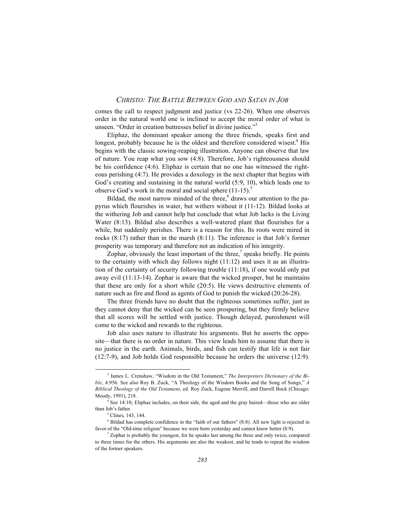## *CHRISTO: THE BATTLE BETWEEN GOD AND SATAN IN JOB*

comes the call to respect judgment and justice (vs 22-26). When one observes order in the natural world one is inclined to accept the moral order of what is unseen. "Order in creation buttresses belief in divine justice."<sup>3</sup>

Eliphaz, the dominant speaker among the three friends, speaks first and longest, probably because he is the oldest and therefore considered wisest.<sup>4</sup> His begins with the classic sowing-reaping illustration. Anyone can observe that law of nature. You reap what you sow (4:8). Therefore, Job's righteousness should be his confidence (4:6). Eliphaz is certain that no one has witnessed the righteous perishing (4:7). He provides a doxology in the next chapter that begins with God's creating and sustaining in the natural world (5:9, 10), which leads one to observe God's work in the moral and social sphere  $(11-15)$ .<sup>5</sup>

Bildad, the most narrow minded of the three  $\frac{6}{3}$  draws our attention to the papyrus which flourishes in water, but withers without it (11-12). Bildad looks at the withering Job and cannot help but conclude that what Job lacks is the Living Water (8:13). Bildad also describes a well-watered plant that flourishes for a while, but suddenly perishes. There is a reason for this. Its roots were mired in rocks (8:17) rather than in the marsh (8:11). The inference is that Job's former prosperity was temporary and therefore not an indication of his integrity.

Zophar, obviously the least important of the three.<sup>7</sup> speaks briefly. He points to the certainty with which day follows night (11:12) and uses it as an illustration of the certainty of security following trouble (11:18), if one would only put away evil (11:13-14). Zophar is aware that the wicked prosper, but he maintains that these are only for a short while (20:5). He views destructive elements of nature such as fire and flood as agents of God to punish the wicked (20:26-28).

The three friends have no doubt that the righteous sometimes suffer, just as they cannot deny that the wicked can be seen prospering, but they firmly believe that all scores will be settled with justice. Though delayed, punishment will come to the wicked and rewards to the righteous.

Job also uses nature to illustrate his arguments. But he asserts the opposite—that there is no order in nature. This view leads him to assume that there is no justice in the earth. Animals, birds, and fish can testify that life is not fair (12:7-9), and Job holds God responsible because he orders the universe (12:9).

 $\frac{1}{3}$ <sup>3</sup> James L. Crenshaw, "Wisdom in the Old Testament," *The Interpreters Dictionary of the Bible*, 4:956. See also Roy B. Zuck, "A Theology of the Wisdom Books and the Song of Songs," *A Biblical Theology of the Old Testament*, ed. Roy Zuck, Eugene Merrill, and Darrell Bock (Chicago: Moody, 1991), 218.

 $4^{4}$  See 14:10: Eliphaz includes, on their side, the aged and the grav haired—those who are older than Job's father.

<sup>&</sup>lt;sup>5</sup> Clines, 143, 144.

 $6$  Bildad has complete confidence in the "faith of our fathers"  $(8:8)$ . All new light is rejected in favor of the "Old-time religion" because we were born yesterday and cannot know better (8:9).

 $\sigma$  Zophar is probably the youngest, for he speaks last among the three and only twice, compared to three times for the others. His arguments are also the weakest, and he tends to repeat the wisdom of the former speakers.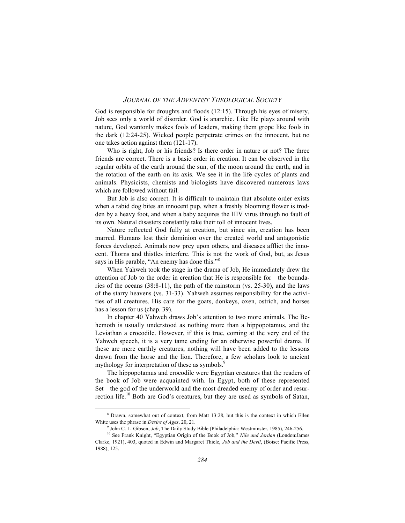## *JOURNAL OF THE ADVENTIST THEOLOGICAL SOCIETY*

God is responsible for droughts and floods  $(12.15)$ . Through his eyes of misery, Job sees only a world of disorder. God is anarchic. Like He plays around with nature, God wantonly makes fools of leaders, making them grope like fools in the dark (12:24-25). Wicked people perpetrate crimes on the innocent, but no one takes action against them (121-17).

Who is right, Job or his friends? Is there order in nature or not? The three friends are correct. There is a basic order in creation. It can be observed in the regular orbits of the earth around the sun, of the moon around the earth, and in the rotation of the earth on its axis. We see it in the life cycles of plants and animals. Physicists, chemists and biologists have discovered numerous laws which are followed without fail.

But Job is also correct. It is difficult to maintain that absolute order exists when a rabid dog bites an innocent pup, when a freshly blooming flower is trodden by a heavy foot, and when a baby acquires the HIV virus through no fault of its own. Natural disasters constantly take their toll of innocent lives.

Nature reflected God fully at creation, but since sin, creation has been marred. Humans lost their dominion over the created world and antagonistic forces developed. Animals now prey upon others, and diseases afflict the innocent. Thorns and thistles interfere. This is not the work of God, but, as Jesus says in His parable, "An enemy has done this."<sup>8</sup>

When Yahweh took the stage in the drama of Job, He immediately drew the attention of Job to the order in creation that He is responsible for—the boundaries of the oceans (38:8-11), the path of the rainstorm (vs. 25-30), and the laws of the starry heavens (vs. 31-33). Yahweh assumes responsibility for the activities of all creatures. His care for the goats, donkeys, oxen, ostrich, and horses has a lesson for us (chap. 39).

In chapter 40 Yahweh draws Job's attention to two more animals. The Behemoth is usually understood as nothing more than a hippopotamus, and the Leviathan a crocodile. However, if this is true, coming at the very end of the Yahweh speech, it is a very tame ending for an otherwise powerful drama. If these are mere earthly creatures, nothing will have been added to the lessons drawn from the horse and the lion. Therefore, a few scholars look to ancient mythology for interpretation of these as symbols.<sup>9</sup>

The hippopotamus and crocodile were Egyptian creatures that the readers of the book of Job were acquainted with. In Egypt, both of these represented Set—the god of the underworld and the most dreaded enemy of order and resurrection life.<sup>10</sup> Both are God's creatures, but they are used as symbols of Satan,

 $\frac{1}{\sqrt{2}}$ <sup>8</sup> Drawn, somewhat out of context, from Matt 13:28, but this is the context in which Ellen White uses the phrase in *Desire of Ages*, 20, 21.

<sup>9</sup> John C. L. Gibson, *Job*, The Daily Study Bible (Philadelphia: Westminster, 1985), 246-256.

<sup>10</sup> See Frank Knight, "Egyptian Origin of the Book of Job," *Nile and Jordan* (London:James Clarke, 1921), 403, quoted in Edwin and Margaret Thiele, *Job and the Devil*, (Boise: Pacific Press, 1988), 125.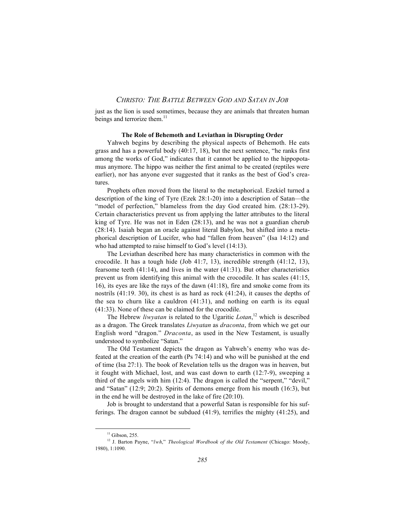## *CHRISTO: THE BATTLE BETWEEN GOD AND SATAN IN JOB*

just as the lion is used sometimes, because they are animals that threaten human beings and terrorize them.<sup>11</sup>

#### **The Role of Behemoth and Leviathan in Disrupting Order**

Yahweh begins by describing the physical aspects of Behemoth. He eats grass and has a powerful body (40:17, 18), but the next sentence, "he ranks first among the works of God," indicates that it cannot be applied to the hippopotamus anymore. The hippo was neither the first animal to be created (reptiles were earlier), nor has anyone ever suggested that it ranks as the best of God's creatures.

Prophets often moved from the literal to the metaphorical. Ezekiel turned a description of the king of Tyre (Ezek 28:1-20) into a description of Satan—the "model of perfection," blameless from the day God created him. (28:13-29). Certain characteristics prevent us from applying the latter attributes to the literal king of Tyre. He was not in Eden (28:13), and he was not a guardian cherub (28:14). Isaiah began an oracle against literal Babylon, but shifted into a metaphorical description of Lucifer, who had "fallen from heaven" (Isa 14:12) and who had attempted to raise himself to God's level (14:13).

The Leviathan described here has many characteristics in common with the crocodile. It has a tough hide (Job 41:7, 13), incredible strength (41:12, 13), fearsome teeth  $(41:14)$ , and lives in the water  $(41:31)$ . But other characteristics prevent us from identifying this animal with the crocodile. It has scales (41:15, 16), its eyes are like the rays of the dawn (41:18), fire and smoke come from its nostrils (41:19. 30), its chest is as hard as rock (41:24), it causes the depths of the sea to churn like a cauldron (41:31), and nothing on earth is its equal (41:33). None of these can be claimed for the crocodile.

The Hebrew *liwyatan* is related to the Ugaritic *Lotan*, 12 which is described as a dragon. The Greek translates *Liwyatan* as *draconta*, from which we get our English word "dragon." *Draconta*, as used in the New Testament, is usually understood to symbolize "Satan."

The Old Testament depicts the dragon as Yahweh's enemy who was defeated at the creation of the earth (Ps 74:14) and who will be punished at the end of time (Isa 27:1). The book of Revelation tells us the dragon was in heaven, but it fought with Michael, lost, and was cast down to earth (12:7-9), sweeping a third of the angels with him (12:4). The dragon is called the "serpent," "devil," and "Satan" (12:9; 20:2). Spirits of demons emerge from his mouth (16:3), but in the end he will be destroyed in the lake of fire (20:10).

Job is brought to understand that a powerful Satan is responsible for his sufferings. The dragon cannot be subdued (41:9), terrifies the mighty (41:25), and

 $11$  Gibson, 255.

<sup>12</sup> J. Barton Payne, "*lwh*," *Theological Wordbook of the Old Testament* (Chicago: Moody, 1980), 1:1090.